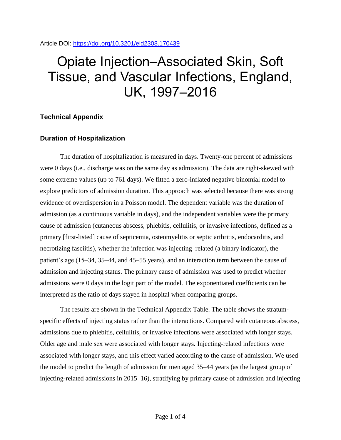Article DOI:<https://doi.org/10.3201/eid2308.170439>

## Opiate Injection–Associated Skin, Soft Tissue, and Vascular Infections, England, UK, 1997–2016

## **Technical Appendix**

## **Duration of Hospitalization**

The duration of hospitalization is measured in days. Twenty-one percent of admissions were 0 days (i.e., discharge was on the same day as admission). The data are right-skewed with some extreme values (up to 761 days). We fitted a zero-inflated negative binomial model to explore predictors of admission duration. This approach was selected because there was strong evidence of overdispersion in a Poisson model. The dependent variable was the duration of admission (as a continuous variable in days), and the independent variables were the primary cause of admission (cutaneous abscess, phlebitis, cellulitis, or invasive infections, defined as a primary [first-listed] cause of septicemia, osteomyelitis or septic arthritis, endocarditis, and necrotizing fasciitis), whether the infection was injecting–related (a binary indicator), the patient's age (15–34, 35–44, and 45–55 years), and an interaction term between the cause of admission and injecting status. The primary cause of admission was used to predict whether admissions were 0 days in the logit part of the model. The exponentiated coefficients can be interpreted as the ratio of days stayed in hospital when comparing groups.

The results are shown in the Technical Appendix Table. The table shows the stratumspecific effects of injecting status rather than the interactions. Compared with cutaneous abscess, admissions due to phlebitis, cellulitis, or invasive infections were associated with longer stays. Older age and male sex were associated with longer stays. Injecting-related infections were associated with longer stays, and this effect varied according to the cause of admission. We used the model to predict the length of admission for men aged 35–44 years (as the largest group of injecting-related admissions in 2015–16), stratifying by primary cause of admission and injecting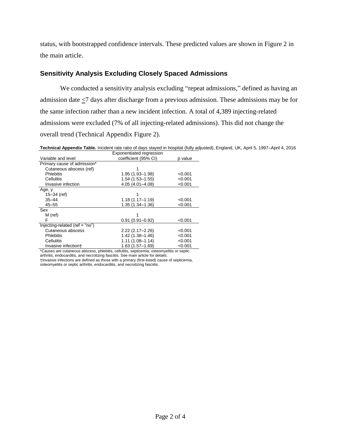status, with bootstrapped confidence intervals. These predicted values are shown in Figure 2 in the main article.

## **Sensitivity Analysis Excluding Closely Spaced Admissions**

We conducted a sensitivity analysis excluding "repeat admissions," defined as having an admission date  $\leq$ 7 days after discharge from a previous admission. These admissions may be for the same infection rather than a new incident infection. A total of 4,389 injecting-related admissions were excluded (7% of all injecting-related admissions). This did not change the overall trend (Technical Appendix Figure 2).

**Technical Appendix Table.** Incident rate ratio of days stayed in hospital (fully adjusted), England, UK, April 5, 1997–April 4, 2016 Exponentiated regression

|                                | Exportemented regression |         |
|--------------------------------|--------------------------|---------|
| Variable and level             | coefficient (95% CI)     | p value |
| Primary cause of admission*    |                          |         |
| Cutaneous abscess (ref)        |                          |         |
| <b>Phlebitis</b>               | 1.95 (1.93-1.98)         | < 0.001 |
| Cellulitis                     | $1.54(1.53 - 1.55)$      | < 0.001 |
| Invasive infection             | 4.05 (4.01-4.08)         | < 0.001 |
| Age, y                         |                          |         |
| 15 $-34$ (ref)                 |                          |         |
| $35 - 44$                      | $1.18(1.17 - 1.19)$      | < 0.001 |
| $45 - 55$                      | 1.35 (1.34-1.36)         | < 0.001 |
| Sex                            |                          |         |
| M (ref)                        |                          |         |
| F                              | $0.91(0.91 - 0.92)$      | < 0.001 |
| Injecting-related (ref = "no") |                          |         |
| Cutaneous abscess              | $2.22(2.17 - 2.26)$      | < 0.001 |
| <b>Phlebitis</b>               | $1.42(1.38 - 1.46)$      | < 0.001 |
| Cellulitis                     | $1.11(1.08 - 1.14)$      | < 0.001 |
| Invasive infection+            | 1.63 (1.57-1.69)         | < 0.001 |

\*Causes are cutaneous abscess, phlebitis, cellulitis, septicemia, osteomyelitis or septic arthritis, endocarditis, and necrotizing fasciitis. See main article for details.

†Invasive infections are defined as those with a primary (first-listed) cause of septicemia, osteomyelitis or septic arthritis, endocarditis, and necrotizing fasciitis.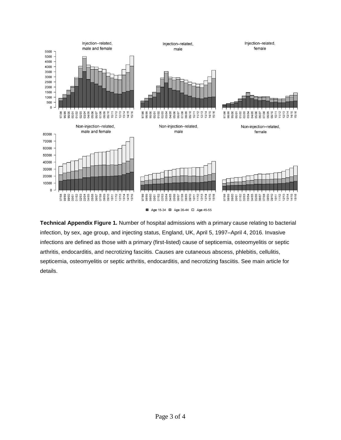

**Technical Appendix Figure 1.** Number of hospital admissions with a primary cause relating to bacterial infection, by sex, age group, and injecting status, England, UK, April 5, 1997–April 4, 2016. Invasive infections are defined as those with a primary (first-listed) cause of septicemia, osteomyelitis or septic arthritis, endocarditis, and necrotizing fasciitis. Causes are cutaneous abscess, phlebitis, cellulitis, septicemia, osteomyelitis or septic arthritis, endocarditis, and necrotizing fasciitis. See main article for details.